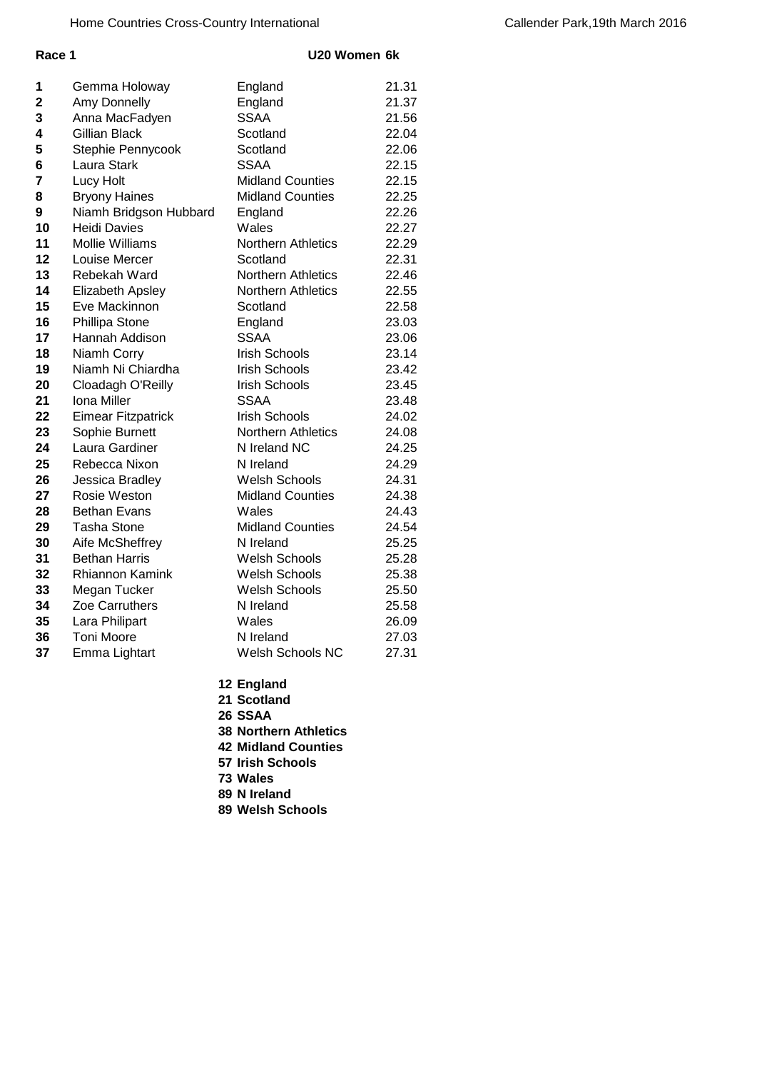## **Race 1 U20 Women 6k**

| 1  | Gemma Holoway             | England                 | 21.31 |
|----|---------------------------|-------------------------|-------|
| 2  | Amy Donnelly              | England                 | 21.37 |
| 3  | Anna MacFadyen            | <b>SSAA</b>             | 21.56 |
| 4  | <b>Gillian Black</b>      | Scotland                | 22.04 |
| 5  | Stephie Pennycook         | Scotland                | 22.06 |
| 6  | Laura Stark               | <b>SSAA</b>             | 22.15 |
| 7  | Lucy Holt                 | <b>Midland Counties</b> | 22.15 |
| 8  | <b>Bryony Haines</b>      | <b>Midland Counties</b> | 22.25 |
| 9  | Niamh Bridgson Hubbard    | England                 | 22.26 |
| 10 | <b>Heidi Davies</b>       | Wales                   | 22.27 |
| 11 | <b>Mollie Williams</b>    | Northern Athletics      | 22.29 |
| 12 | Louise Mercer             | Scotland                | 22.31 |
| 13 | Rebekah Ward              | Northern Athletics      | 22.46 |
| 14 | <b>Elizabeth Apsley</b>   | Northern Athletics      | 22.55 |
| 15 | Eve Mackinnon             | Scotland                | 22.58 |
| 16 | Phillipa Stone            | England                 | 23.03 |
| 17 | Hannah Addison            | <b>SSAA</b>             | 23.06 |
| 18 | Niamh Corry               | <b>Irish Schools</b>    | 23.14 |
| 19 | Niamh Ni Chiardha         | <b>Irish Schools</b>    | 23.42 |
| 20 | Cloadagh O'Reilly         | <b>Irish Schools</b>    | 23.45 |
| 21 | Iona Miller               | <b>SSAA</b>             | 23.48 |
| 22 | <b>Eimear Fitzpatrick</b> | <b>Irish Schools</b>    | 24.02 |
| 23 | Sophie Burnett            | Northern Athletics      | 24.08 |
| 24 | Laura Gardiner            | N Ireland NC            | 24.25 |
| 25 | Rebecca Nixon             | N Ireland               | 24.29 |
| 26 | Jessica Bradley           | <b>Welsh Schools</b>    | 24.31 |
| 27 | Rosie Weston              | <b>Midland Counties</b> | 24.38 |
| 28 | <b>Bethan Evans</b>       | Wales                   | 24.43 |
| 29 | <b>Tasha Stone</b>        | <b>Midland Counties</b> | 24.54 |
| 30 | Aife McSheffrey           | N Ireland               | 25.25 |
| 31 | <b>Bethan Harris</b>      | <b>Welsh Schools</b>    | 25.28 |
| 32 | Rhiannon Kamink           | <b>Welsh Schools</b>    | 25.38 |
| 33 | Megan Tucker              | <b>Welsh Schools</b>    | 25.50 |
| 34 | <b>Zoe Carruthers</b>     | N Ireland               | 25.58 |
| 35 | Lara Philipart            | Wales                   | 26.09 |
| 36 | <b>Toni Moore</b>         | N Ireland               | 27.03 |
| 37 | Emma Lightart             | Welsh Schools NC        | 27.31 |
|    |                           |                         |       |

- **England**
- **Scotland**
- **SSAA**
- **Northern Athletics**
- **Midland Counties**
- **Irish Schools**
- **Wales**
- **N Ireland**
- **Welsh Schools**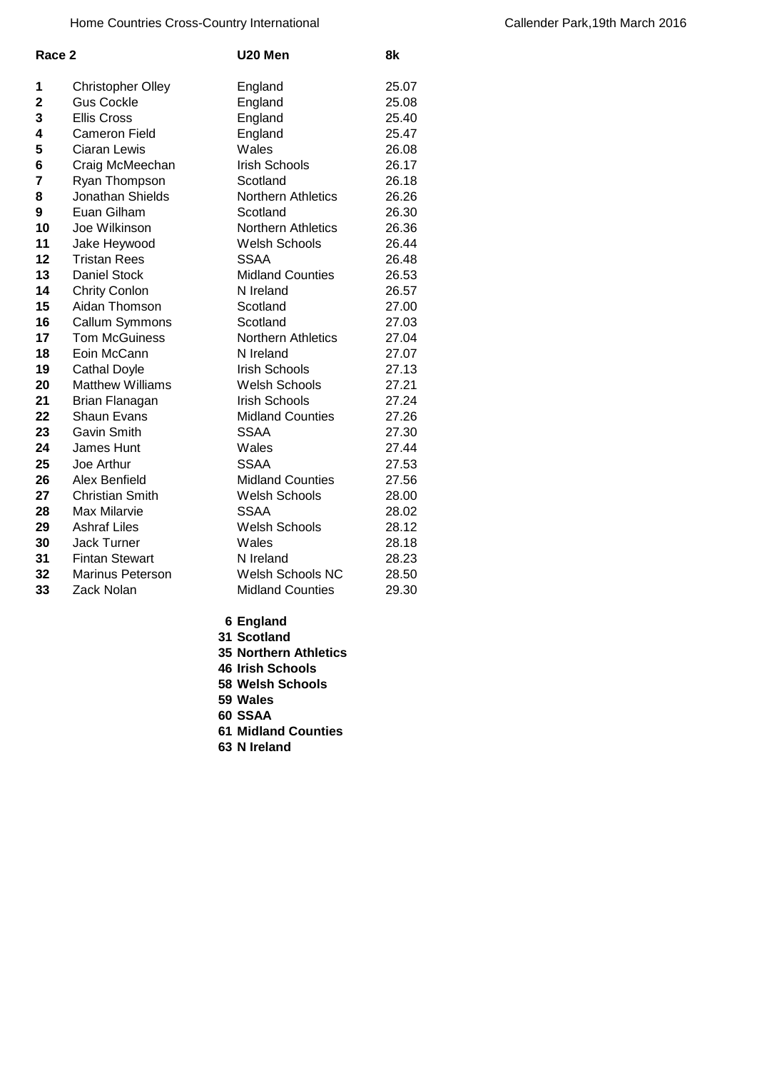| Race 2 |                          | U20 Men                   | 8k    |
|--------|--------------------------|---------------------------|-------|
| 1      | <b>Christopher Olley</b> | England                   | 25.07 |
| 2      | <b>Gus Cockle</b>        | England                   | 25.08 |
| 3      | <b>Ellis Cross</b>       | England                   | 25.40 |
| 4      | <b>Cameron Field</b>     | England                   | 25.47 |
| 5      | Ciaran Lewis             | Wales                     | 26.08 |
| 6      | Craig McMeechan          | <b>Irish Schools</b>      | 26.17 |
| 7      | Ryan Thompson            | Scotland                  | 26.18 |
| 8      | Jonathan Shields         | <b>Northern Athletics</b> | 26.26 |
| 9      | Euan Gilham              | Scotland                  | 26.30 |
| 10     | Joe Wilkinson            | Northern Athletics        | 26.36 |
| 11     | Jake Heywood             | Welsh Schools             | 26.44 |
| 12     | <b>Tristan Rees</b>      | <b>SSAA</b>               | 26.48 |
| 13     | <b>Daniel Stock</b>      | <b>Midland Counties</b>   | 26.53 |
| 14     | <b>Chrity Conlon</b>     | N Ireland                 | 26.57 |
| 15     | Aidan Thomson            | Scotland                  | 27.00 |
| 16     | Callum Symmons           | Scotland                  | 27.03 |
| 17     | <b>Tom McGuiness</b>     | <b>Northern Athletics</b> | 27.04 |
| 18     | Eoin McCann              | N Ireland                 | 27.07 |
| 19     | <b>Cathal Doyle</b>      | <b>Irish Schools</b>      | 27.13 |
| 20     | <b>Matthew Williams</b>  | <b>Welsh Schools</b>      | 27.21 |
| 21     | Brian Flanagan           | <b>Irish Schools</b>      | 27.24 |
| 22     | <b>Shaun Evans</b>       | <b>Midland Counties</b>   | 27.26 |
| 23     | Gavin Smith              | <b>SSAA</b>               | 27.30 |
| 24     | James Hunt               | Wales                     | 27.44 |
| 25     | Joe Arthur               | <b>SSAA</b>               | 27.53 |
| 26     | Alex Benfield            | <b>Midland Counties</b>   | 27.56 |
| 27     | <b>Christian Smith</b>   | <b>Welsh Schools</b>      | 28.00 |
| 28     | Max Milarvie             | <b>SSAA</b>               | 28.02 |
| 29     | <b>Ashraf Liles</b>      | <b>Welsh Schools</b>      | 28.12 |
| 30     | <b>Jack Turner</b>       | Wales                     | 28.18 |
| 31     | <b>Fintan Stewart</b>    | N Ireland                 | 28.23 |
| 32     | <b>Marinus Peterson</b>  | <b>Welsh Schools NC</b>   | 28.50 |
| 33     | Zack Nolan               | <b>Midland Counties</b>   | 29.30 |
|        |                          |                           |       |

 **England Scotland**

 **Wales SSAA**

**N Ireland**

 **Northern Athletics Irish Schools Welsh Schools**

**Midland Counties**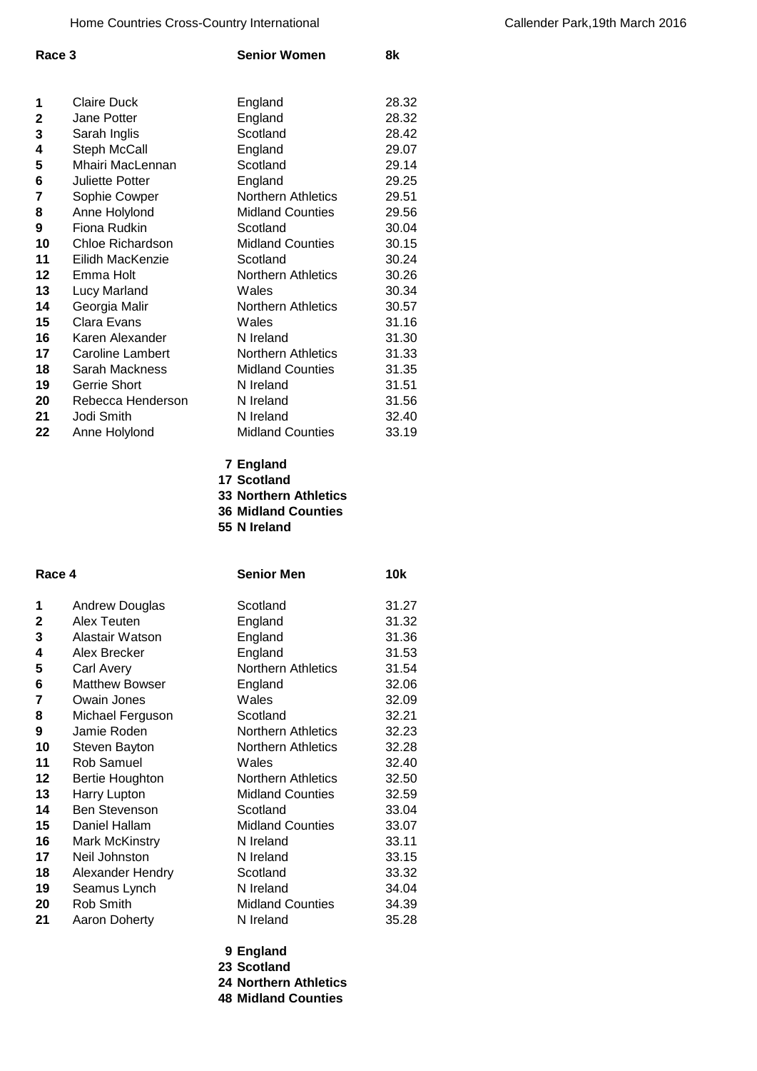| Race 3       |                         | <b>Senior Women</b>       | 8k    |
|--------------|-------------------------|---------------------------|-------|
|              |                         |                           |       |
| 1            | <b>Claire Duck</b>      | England                   | 28.32 |
| $\mathbf{2}$ | Jane Potter             | England                   | 28.32 |
| 3            | Sarah Inglis            | Scotland                  | 28.42 |
| 4            | Steph McCall            | England                   | 29.07 |
| 5            | Mhairi MacLennan        | Scotland                  | 29.14 |
| 6            | <b>Juliette Potter</b>  | England                   | 29.25 |
| 7            | Sophie Cowper           | Northern Athletics        | 29.51 |
| 8            | Anne Holylond           | <b>Midland Counties</b>   | 29.56 |
| 9            | Fiona Rudkin            | Scotland                  | 30.04 |
| 10           | <b>Chloe Richardson</b> | <b>Midland Counties</b>   | 30.15 |
| 11           | Eilidh MacKenzie        | Scotland                  | 30.24 |
| 12           | Emma Holt               | Northern Athletics        | 30.26 |
| 13           | Lucy Marland            | Wales                     | 30.34 |
| 14           | Georgia Malir           | <b>Northern Athletics</b> | 30.57 |
| 15           | Clara Evans             | Wales                     | 31.16 |
| 16           | Karen Alexander         | N Ireland                 | 31.30 |
| 17           | <b>Caroline Lambert</b> | <b>Northern Athletics</b> | 31.33 |
| 18           | Sarah Mackness          | <b>Midland Counties</b>   | 31.35 |
| 19           | <b>Gerrie Short</b>     | N Ireland                 | 31.51 |
| 20           | Rebecca Henderson       | N Ireland                 | 31.56 |
| 21           | Jodi Smith              | N Ireland                 | 32.40 |
| 22           | Anne Holylond           | <b>Midland Counties</b>   | 33.19 |

- **England Scotland**
- **Northern Athletics**
- **Midland Counties**
- **N Ireland**

| Race 4 |                         | <b>Senior Men</b>         | <b>10k</b> |
|--------|-------------------------|---------------------------|------------|
| 1      | Andrew Douglas          | Scotland                  | 31.27      |
| 2      | Alex Teuten             | England                   | 31.32      |
| 3      | Alastair Watson         | England                   | 31.36      |
| 4      | Alex Brecker            | England                   | 31.53      |
| 5      | Carl Avery              | Northern Athletics        | 31.54      |
| 6      | <b>Matthew Bowser</b>   | England                   | 32.06      |
| 7      | Owain Jones             | Wales                     | 32.09      |
| 8      | Michael Ferguson        | Scotland                  | 32.21      |
| 9      | Jamie Roden             | <b>Northern Athletics</b> | 32.23      |
| 10     | Steven Bayton           | <b>Northern Athletics</b> | 32.28      |
| 11     | <b>Rob Samuel</b>       | Wales                     | 32.40      |
| 12     | Bertie Houghton         | Northern Athletics        | 32.50      |
| 13     | Harry Lupton            | <b>Midland Counties</b>   | 32.59      |
| 14     | <b>Ben Stevenson</b>    | Scotland                  | 33.04      |
| 15     | Daniel Hallam           | <b>Midland Counties</b>   | 33.07      |
| 16     | <b>Mark McKinstry</b>   | N Ireland                 | 33.11      |
| 17     | Neil Johnston           | N Ireland                 | 33.15      |
| 18     | <b>Alexander Hendry</b> | Scotland                  | 33.32      |
| 19     | Seamus Lynch            | N Ireland                 | 34.04      |
| 20     | Rob Smith               | <b>Midland Counties</b>   | 34.39      |
| 21     | <b>Aaron Doherty</b>    | N Ireland                 | 35.28      |

- **England**
- **Scotland**
- **Northern Athletics**
- **Midland Counties**